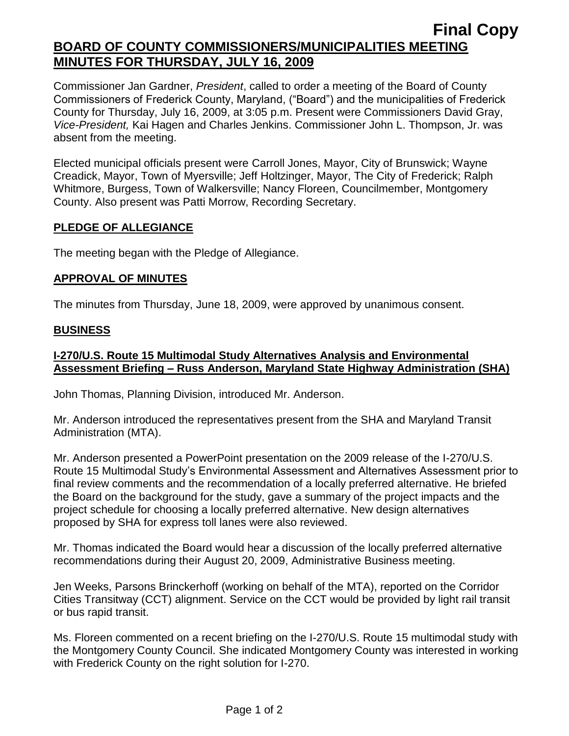# **Final Copy BOARD OF COUNTY COMMISSIONERS/MUNICIPALITIES MEETING MINUTES FOR THURSDAY, JULY 16, 2009**

Commissioner Jan Gardner, *President*, called to order a meeting of the Board of County Commissioners of Frederick County, Maryland, ("Board") and the municipalities of Frederick County for Thursday, July 16, 2009, at 3:05 p.m. Present were Commissioners David Gray, *Vice-President,* Kai Hagen and Charles Jenkins. Commissioner John L. Thompson, Jr. was absent from the meeting.

Elected municipal officials present were Carroll Jones, Mayor, City of Brunswick; Wayne Creadick, Mayor, Town of Myersville; Jeff Holtzinger, Mayor, The City of Frederick; Ralph Whitmore, Burgess, Town of Walkersville; Nancy Floreen, Councilmember, Montgomery County. Also present was Patti Morrow, Recording Secretary.

### **PLEDGE OF ALLEGIANCE**

The meeting began with the Pledge of Allegiance.

## **APPROVAL OF MINUTES**

The minutes from Thursday, June 18, 2009, were approved by unanimous consent.

## **BUSINESS**

## **I-270/U.S. Route 15 Multimodal Study Alternatives Analysis and Environmental Assessment Briefing – Russ Anderson, Maryland State Highway Administration (SHA)**

John Thomas, Planning Division, introduced Mr. Anderson.

Mr. Anderson introduced the representatives present from the SHA and Maryland Transit Administration (MTA).

Mr. Anderson presented a PowerPoint presentation on the 2009 release of the I-270/U.S. Route 15 Multimodal Study's Environmental Assessment and Alternatives Assessment prior to final review comments and the recommendation of a locally preferred alternative. He briefed the Board on the background for the study, gave a summary of the project impacts and the project schedule for choosing a locally preferred alternative. New design alternatives proposed by SHA for express toll lanes were also reviewed.

Mr. Thomas indicated the Board would hear a discussion of the locally preferred alternative recommendations during their August 20, 2009, Administrative Business meeting.

Jen Weeks, Parsons Brinckerhoff (working on behalf of the MTA), reported on the Corridor Cities Transitway (CCT) alignment. Service on the CCT would be provided by light rail transit or bus rapid transit.

Ms. Floreen commented on a recent briefing on the I-270/U.S. Route 15 multimodal study with the Montgomery County Council. She indicated Montgomery County was interested in working with Frederick County on the right solution for I-270.